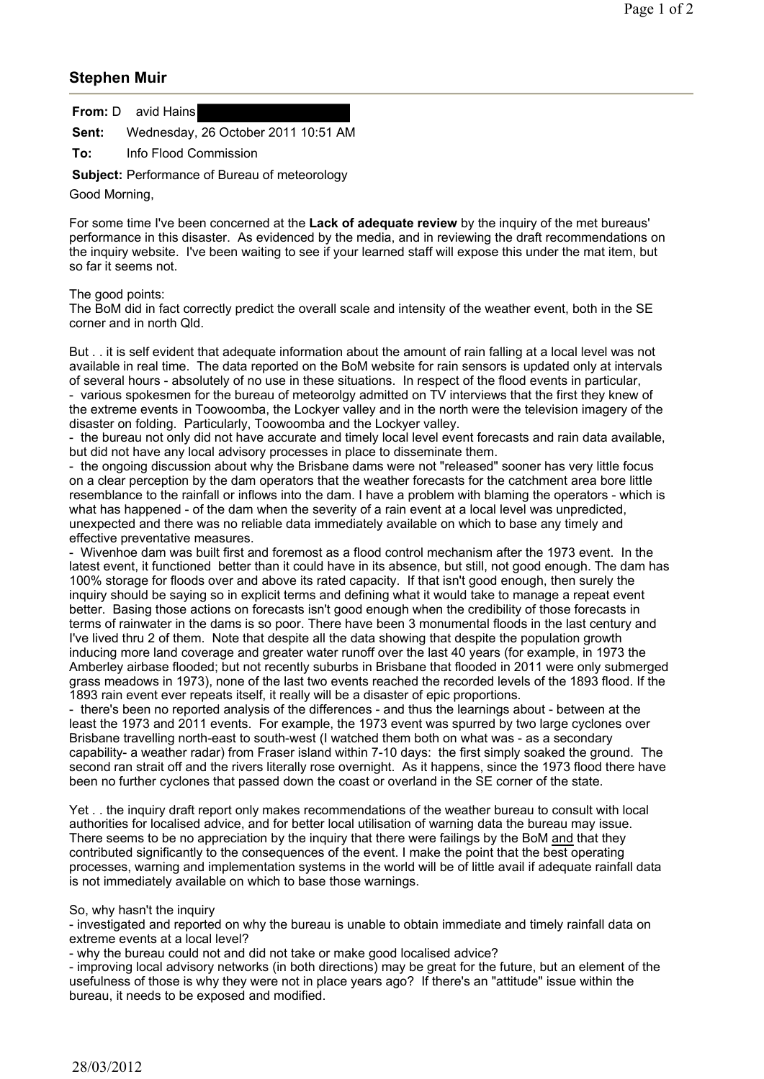## **Stephen Muir**

**From:** D avid Hains

**Sent:** Wednesday, 26 October 2011 10:51 AM

**To:** Info Flood Commission

**Subject:** Performance of Bureau of meteorology

Good Morning,

For some time I've been concerned at the **Lack of adequate review** by the inquiry of the met bureaus' performance in this disaster. As evidenced by the media, and in reviewing the draft recommendations on the inquiry website. I've been waiting to see if your learned staff will expose this under the mat item, but so far it seems not.

## The good points:

The BoM did in fact correctly predict the overall scale and intensity of the weather event, both in the SE corner and in north Qld.

But . . it is self evident that adequate information about the amount of rain falling at a local level was not available in real time. The data reported on the BoM website for rain sensors is updated only at intervals of several hours - absolutely of no use in these situations. In respect of the flood events in particular, - various spokesmen for the bureau of meteorolgy admitted on TV interviews that the first they knew of the extreme events in Toowoomba, the Lockyer valley and in the north were the television imagery of the disaster on folding. Particularly, Toowoomba and the Lockyer valley.

- the bureau not only did not have accurate and timely local level event forecasts and rain data available, but did not have any local advisory processes in place to disseminate them.

- the ongoing discussion about why the Brisbane dams were not "released" sooner has very little focus on a clear perception by the dam operators that the weather forecasts for the catchment area bore little resemblance to the rainfall or inflows into the dam. I have a problem with blaming the operators - which is what has happened - of the dam when the severity of a rain event at a local level was unpredicted, unexpected and there was no reliable data immediately available on which to base any timely and effective preventative measures.

- Wivenhoe dam was built first and foremost as a flood control mechanism after the 1973 event. In the latest event, it functioned better than it could have in its absence, but still, not good enough. The dam has 100% storage for floods over and above its rated capacity. If that isn't good enough, then surely the inquiry should be saying so in explicit terms and defining what it would take to manage a repeat event better. Basing those actions on forecasts isn't good enough when the credibility of those forecasts in terms of rainwater in the dams is so poor. There have been 3 monumental floods in the last century and I've lived thru 2 of them. Note that despite all the data showing that despite the population growth inducing more land coverage and greater water runoff over the last 40 years (for example, in 1973 the Amberley airbase flooded; but not recently suburbs in Brisbane that flooded in 2011 were only submerged grass meadows in 1973), none of the last two events reached the recorded levels of the 1893 flood. If the 1893 rain event ever repeats itself, it really will be a disaster of epic proportions.

- there's been no reported analysis of the differences - and thus the learnings about - between at the least the 1973 and 2011 events. For example, the 1973 event was spurred by two large cyclones over Brisbane travelling north-east to south-west (I watched them both on what was - as a secondary capability- a weather radar) from Fraser island within 7-10 days: the first simply soaked the ground. The second ran strait off and the rivers literally rose overnight. As it happens, since the 1973 flood there have been no further cyclones that passed down the coast or overland in the SE corner of the state.

Yet . . the inquiry draft report only makes recommendations of the weather bureau to consult with local authorities for localised advice, and for better local utilisation of warning data the bureau may issue. There seems to be no appreciation by the inquiry that there were failings by the BoM and that they contributed significantly to the consequences of the event. I make the point that the best operating processes, warning and implementation systems in the world will be of little avail if adequate rainfall data is not immediately available on which to base those warnings.

## So, why hasn't the inquiry

- investigated and reported on why the bureau is unable to obtain immediate and timely rainfall data on extreme events at a local level?

- why the bureau could not and did not take or make good localised advice?

- improving local advisory networks (in both directions) may be great for the future, but an element of the usefulness of those is why they were not in place years ago? If there's an "attitude" issue within the bureau, it needs to be exposed and modified.